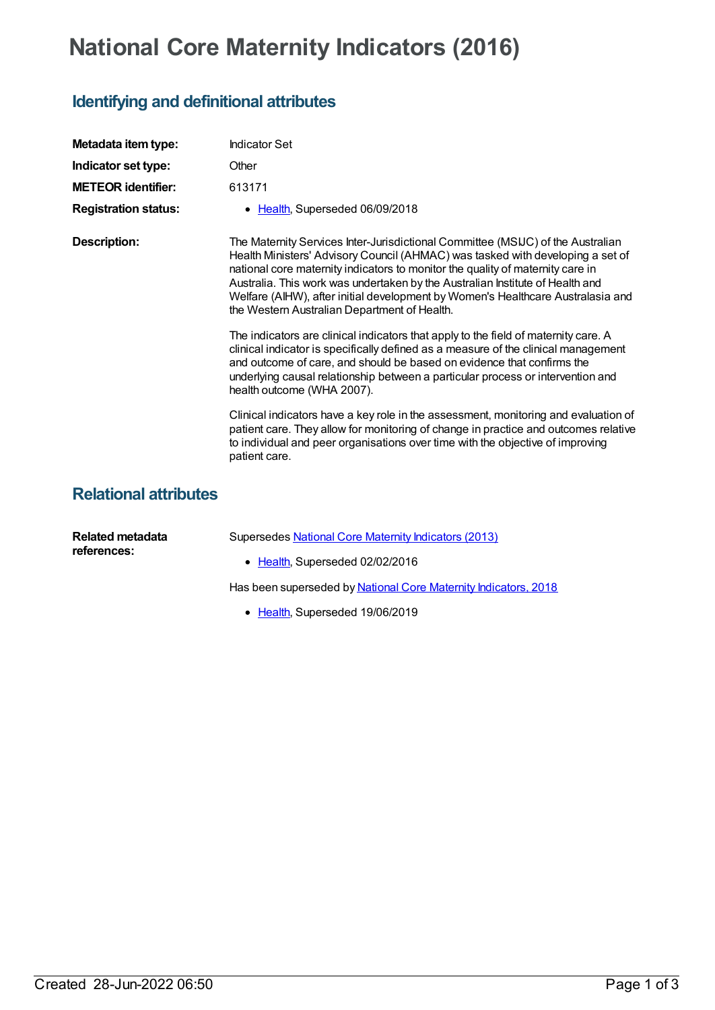## **National Core Maternity Indicators (2016)**

## **Identifying and definitional attributes**

| Metadata item type:          | <b>Indicator Set</b>                                                                                                                                                                                                                                                                                                                                                                                                                                                    |
|------------------------------|-------------------------------------------------------------------------------------------------------------------------------------------------------------------------------------------------------------------------------------------------------------------------------------------------------------------------------------------------------------------------------------------------------------------------------------------------------------------------|
| Indicator set type:          | Other                                                                                                                                                                                                                                                                                                                                                                                                                                                                   |
| <b>METEOR identifier:</b>    | 613171                                                                                                                                                                                                                                                                                                                                                                                                                                                                  |
| <b>Registration status:</b>  | Health, Superseded 06/09/2018<br>$\bullet$                                                                                                                                                                                                                                                                                                                                                                                                                              |
| <b>Description:</b>          | The Maternity Services Inter-Jurisdictional Committee (MSIJC) of the Australian<br>Health Ministers' Advisory Council (AHMAC) was tasked with developing a set of<br>national core maternity indicators to monitor the quality of maternity care in<br>Australia. This work was undertaken by the Australian Institute of Health and<br>Welfare (AIHW), after initial development by Women's Healthcare Australasia and<br>the Western Australian Department of Health. |
|                              | The indicators are clinical indicators that apply to the field of maternity care. A<br>clinical indicator is specifically defined as a measure of the clinical management<br>and outcome of care, and should be based on evidence that confirms the<br>underlying causal relationship between a particular process or intervention and<br>health outcome (WHA 2007).                                                                                                    |
|                              | Clinical indicators have a key role in the assessment, monitoring and evaluation of<br>patient care. They allow for monitoring of change in practice and outcomes relative<br>to individual and peer organisations over time with the objective of improving<br>patient care.                                                                                                                                                                                           |
| <b>Relational attributes</b> |                                                                                                                                                                                                                                                                                                                                                                                                                                                                         |

| Related metadata<br>references: | Supersedes National Core Maternity Indicators (2013)            |
|---------------------------------|-----------------------------------------------------------------|
|                                 | • Health, Superseded 02/02/2016                                 |
|                                 | Has been superseded by National Core Maternity Indicators, 2018 |

• [Health](https://meteor.aihw.gov.au/RegistrationAuthority/12), Superseded 19/06/2019